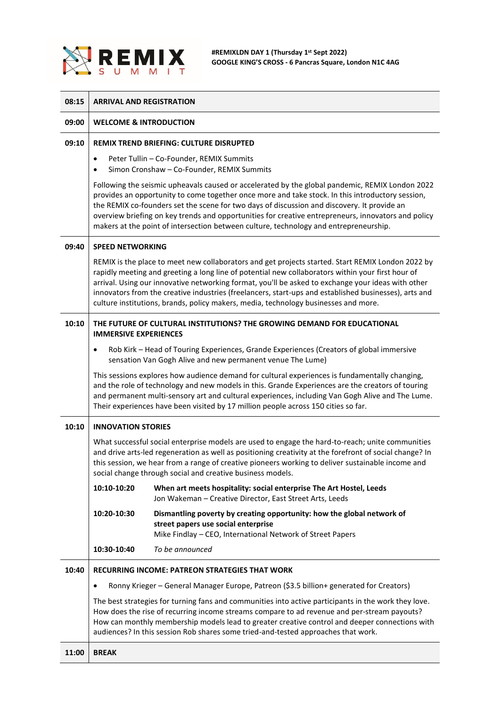

| 08:15 | <b>ARRIVAL AND REGISTRATION</b>                                                                                                                                                                                                                                                                                                                                                                                                                                                                              |                                                                                                                                                                             |  |
|-------|--------------------------------------------------------------------------------------------------------------------------------------------------------------------------------------------------------------------------------------------------------------------------------------------------------------------------------------------------------------------------------------------------------------------------------------------------------------------------------------------------------------|-----------------------------------------------------------------------------------------------------------------------------------------------------------------------------|--|
| 09:00 | <b>WELCOME &amp; INTRODUCTION</b>                                                                                                                                                                                                                                                                                                                                                                                                                                                                            |                                                                                                                                                                             |  |
| 09:10 | <b>REMIX TREND BRIEFING: CULTURE DISRUPTED</b>                                                                                                                                                                                                                                                                                                                                                                                                                                                               |                                                                                                                                                                             |  |
|       | Peter Tullin - Co-Founder, REMIX Summits<br>٠<br>Simon Cronshaw - Co-Founder, REMIX Summits                                                                                                                                                                                                                                                                                                                                                                                                                  |                                                                                                                                                                             |  |
|       | Following the seismic upheavals caused or accelerated by the global pandemic, REMIX London 2022<br>provides an opportunity to come together once more and take stock. In this introductory session,<br>the REMIX co-founders set the scene for two days of discussion and discovery. It provide an<br>overview briefing on key trends and opportunities for creative entrepreneurs, innovators and policy<br>makers at the point of intersection between culture, technology and entrepreneurship.           |                                                                                                                                                                             |  |
| 09:40 | <b>SPEED NETWORKING</b>                                                                                                                                                                                                                                                                                                                                                                                                                                                                                      |                                                                                                                                                                             |  |
|       | REMIX is the place to meet new collaborators and get projects started. Start REMIX London 2022 by<br>rapidly meeting and greeting a long line of potential new collaborators within your first hour of<br>arrival. Using our innovative networking format, you'll be asked to exchange your ideas with other<br>innovators from the creative industries (freelancers, start-ups and established businesses), arts and<br>culture institutions, brands, policy makers, media, technology businesses and more. |                                                                                                                                                                             |  |
| 10:10 | THE FUTURE OF CULTURAL INSTITUTIONS? THE GROWING DEMAND FOR EDUCATIONAL<br><b>IMMERSIVE EXPERIENCES</b>                                                                                                                                                                                                                                                                                                                                                                                                      |                                                                                                                                                                             |  |
|       | Rob Kirk - Head of Touring Experiences, Grande Experiences (Creators of global immersive<br>٠<br>sensation Van Gogh Alive and new permanent venue The Lume)                                                                                                                                                                                                                                                                                                                                                  |                                                                                                                                                                             |  |
|       | This sessions explores how audience demand for cultural experiences is fundamentally changing,<br>and the role of technology and new models in this. Grande Experiences are the creators of touring<br>and permanent multi-sensory art and cultural experiences, including Van Gogh Alive and The Lume.<br>Their experiences have been visited by 17 million people across 150 cities so far.                                                                                                                |                                                                                                                                                                             |  |
| 10:10 | <b>INNOVATION STORIES</b>                                                                                                                                                                                                                                                                                                                                                                                                                                                                                    |                                                                                                                                                                             |  |
|       | What successful social enterprise models are used to engage the hard-to-reach; unite communities<br>and drive arts-led regeneration as well as positioning creativity at the forefront of social change? In<br>this session, we hear from a range of creative pioneers working to deliver sustainable income and<br>social change through social and creative business models.                                                                                                                               |                                                                                                                                                                             |  |
|       | 10:10-10:20                                                                                                                                                                                                                                                                                                                                                                                                                                                                                                  | When art meets hospitality: social enterprise The Art Hostel, Leeds<br>Jon Wakeman - Creative Director, East Street Arts, Leeds                                             |  |
|       | 10:20-10:30                                                                                                                                                                                                                                                                                                                                                                                                                                                                                                  | Dismantling poverty by creating opportunity: how the global network of<br>street papers use social enterprise<br>Mike Findlay - CEO, International Network of Street Papers |  |
|       | 10:30-10:40                                                                                                                                                                                                                                                                                                                                                                                                                                                                                                  | To be announced                                                                                                                                                             |  |
| 10:40 |                                                                                                                                                                                                                                                                                                                                                                                                                                                                                                              | <b>RECURRING INCOME: PATREON STRATEGIES THAT WORK</b>                                                                                                                       |  |
|       | Ronny Krieger - General Manager Europe, Patreon (\$3.5 billion+ generated for Creators)<br>٠                                                                                                                                                                                                                                                                                                                                                                                                                 |                                                                                                                                                                             |  |
|       | The best strategies for turning fans and communities into active participants in the work they love.<br>How does the rise of recurring income streams compare to ad revenue and per-stream payouts?<br>How can monthly membership models lead to greater creative control and deeper connections with<br>audiences? In this session Rob shares some tried-and-tested approaches that work.                                                                                                                   |                                                                                                                                                                             |  |
| 11:00 | <b>BREAK</b>                                                                                                                                                                                                                                                                                                                                                                                                                                                                                                 |                                                                                                                                                                             |  |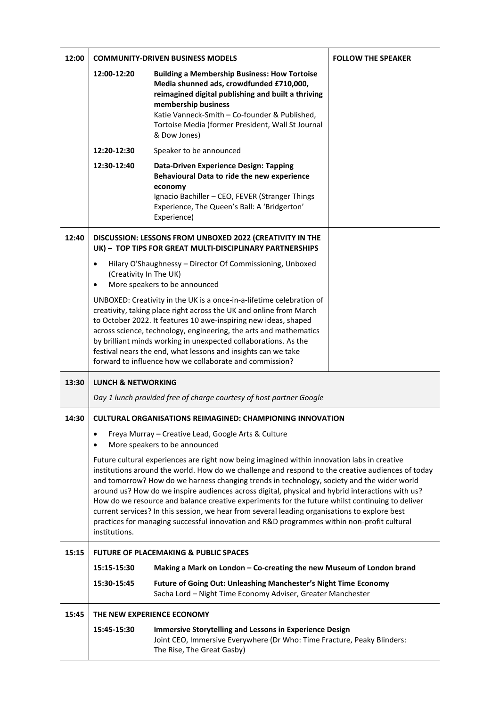| 12:00 |                                                                                                                                                                                                                                                                                                                                                                                                                                                                                                                                                                                                                                                                                                                       | <b>COMMUNITY-DRIVEN BUSINESS MODELS</b>                                                                                                                                                                                                                                                            | <b>FOLLOW THE SPEAKER</b> |  |
|-------|-----------------------------------------------------------------------------------------------------------------------------------------------------------------------------------------------------------------------------------------------------------------------------------------------------------------------------------------------------------------------------------------------------------------------------------------------------------------------------------------------------------------------------------------------------------------------------------------------------------------------------------------------------------------------------------------------------------------------|----------------------------------------------------------------------------------------------------------------------------------------------------------------------------------------------------------------------------------------------------------------------------------------------------|---------------------------|--|
|       | 12:00-12:20                                                                                                                                                                                                                                                                                                                                                                                                                                                                                                                                                                                                                                                                                                           | <b>Building a Membership Business: How Tortoise</b><br>Media shunned ads, crowdfunded £710,000,<br>reimagined digital publishing and built a thriving<br>membership business<br>Katie Vanneck-Smith - Co-founder & Published,<br>Tortoise Media (former President, Wall St Journal<br>& Dow Jones) |                           |  |
|       | 12:20-12:30                                                                                                                                                                                                                                                                                                                                                                                                                                                                                                                                                                                                                                                                                                           | Speaker to be announced                                                                                                                                                                                                                                                                            |                           |  |
|       | 12:30-12:40                                                                                                                                                                                                                                                                                                                                                                                                                                                                                                                                                                                                                                                                                                           | Data-Driven Experience Design: Tapping<br>Behavioural Data to ride the new experience<br>economy<br>Ignacio Bachiller - CEO, FEVER (Stranger Things<br>Experience, The Queen's Ball: A 'Bridgerton'<br>Experience)                                                                                 |                           |  |
| 12:40 | DISCUSSION: LESSONS FROM UNBOXED 2022 (CREATIVITY IN THE<br>UK) - TOP TIPS FOR GREAT MULTI-DISCIPLINARY PARTNERSHIPS                                                                                                                                                                                                                                                                                                                                                                                                                                                                                                                                                                                                  |                                                                                                                                                                                                                                                                                                    |                           |  |
|       | Hilary O'Shaughnessy - Director Of Commissioning, Unboxed<br>$\bullet$<br>(Creativity In The UK)<br>More speakers to be announced<br>$\bullet$                                                                                                                                                                                                                                                                                                                                                                                                                                                                                                                                                                        |                                                                                                                                                                                                                                                                                                    |                           |  |
|       | UNBOXED: Creativity in the UK is a once-in-a-lifetime celebration of<br>creativity, taking place right across the UK and online from March<br>to October 2022. It features 10 awe-inspiring new ideas, shaped<br>across science, technology, engineering, the arts and mathematics<br>by brilliant minds working in unexpected collaborations. As the<br>festival nears the end, what lessons and insights can we take<br>forward to influence how we collaborate and commission?                                                                                                                                                                                                                                     |                                                                                                                                                                                                                                                                                                    |                           |  |
| 13:30 | <b>LUNCH &amp; NETWORKING</b>                                                                                                                                                                                                                                                                                                                                                                                                                                                                                                                                                                                                                                                                                         |                                                                                                                                                                                                                                                                                                    |                           |  |
|       |                                                                                                                                                                                                                                                                                                                                                                                                                                                                                                                                                                                                                                                                                                                       | Day 1 lunch provided free of charge courtesy of host partner Google                                                                                                                                                                                                                                |                           |  |
| 14:30 | CULTURAL ORGANISATIONS REIMAGINED: CHAMPIONING INNOVATION                                                                                                                                                                                                                                                                                                                                                                                                                                                                                                                                                                                                                                                             |                                                                                                                                                                                                                                                                                                    |                           |  |
|       | Freya Murray - Creative Lead, Google Arts & Culture<br>٠<br>More speakers to be announced<br>٠                                                                                                                                                                                                                                                                                                                                                                                                                                                                                                                                                                                                                        |                                                                                                                                                                                                                                                                                                    |                           |  |
|       | Future cultural experiences are right now being imagined within innovation labs in creative<br>institutions around the world. How do we challenge and respond to the creative audiences of today<br>and tomorrow? How do we harness changing trends in technology, society and the wider world<br>around us? How do we inspire audiences across digital, physical and hybrid interactions with us?<br>How do we resource and balance creative experiments for the future whilst continuing to deliver<br>current services? In this session, we hear from several leading organisations to explore best<br>practices for managing successful innovation and R&D programmes within non-profit cultural<br>institutions. |                                                                                                                                                                                                                                                                                                    |                           |  |
| 15:15 |                                                                                                                                                                                                                                                                                                                                                                                                                                                                                                                                                                                                                                                                                                                       | <b>FUTURE OF PLACEMAKING &amp; PUBLIC SPACES</b>                                                                                                                                                                                                                                                   |                           |  |
|       | 15:15-15:30                                                                                                                                                                                                                                                                                                                                                                                                                                                                                                                                                                                                                                                                                                           | Making a Mark on London - Co-creating the new Museum of London brand                                                                                                                                                                                                                               |                           |  |
|       | 15:30-15:45                                                                                                                                                                                                                                                                                                                                                                                                                                                                                                                                                                                                                                                                                                           | <b>Future of Going Out: Unleashing Manchester's Night Time Economy</b><br>Sacha Lord - Night Time Economy Adviser, Greater Manchester                                                                                                                                                              |                           |  |
| 15:45 |                                                                                                                                                                                                                                                                                                                                                                                                                                                                                                                                                                                                                                                                                                                       | THE NEW EXPERIENCE ECONOMY                                                                                                                                                                                                                                                                         |                           |  |
|       | 15:45-15:30                                                                                                                                                                                                                                                                                                                                                                                                                                                                                                                                                                                                                                                                                                           | <b>Immersive Storytelling and Lessons in Experience Design</b><br>Joint CEO, Immersive Everywhere (Dr Who: Time Fracture, Peaky Blinders:<br>The Rise, The Great Gasby)                                                                                                                            |                           |  |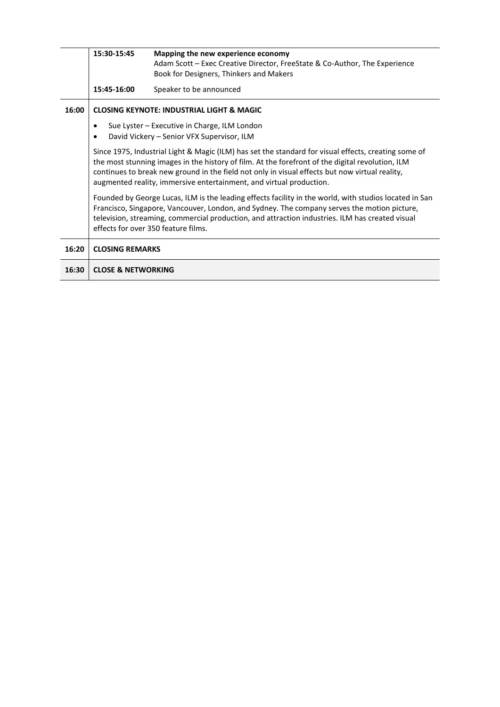|       | 15:30-15:45                                                                                                                                                                                                                                                                                                                                                                                                                                                                                                                                                                                                                                                                                                                          | Mapping the new experience economy                                         |  |
|-------|--------------------------------------------------------------------------------------------------------------------------------------------------------------------------------------------------------------------------------------------------------------------------------------------------------------------------------------------------------------------------------------------------------------------------------------------------------------------------------------------------------------------------------------------------------------------------------------------------------------------------------------------------------------------------------------------------------------------------------------|----------------------------------------------------------------------------|--|
|       |                                                                                                                                                                                                                                                                                                                                                                                                                                                                                                                                                                                                                                                                                                                                      | Adam Scott - Exec Creative Director, FreeState & Co-Author, The Experience |  |
|       |                                                                                                                                                                                                                                                                                                                                                                                                                                                                                                                                                                                                                                                                                                                                      | Book for Designers, Thinkers and Makers                                    |  |
|       | 15:45-16:00                                                                                                                                                                                                                                                                                                                                                                                                                                                                                                                                                                                                                                                                                                                          | Speaker to be announced                                                    |  |
| 16:00 | <b>CLOSING KEYNOTE: INDUSTRIAL LIGHT &amp; MAGIC</b>                                                                                                                                                                                                                                                                                                                                                                                                                                                                                                                                                                                                                                                                                 |                                                                            |  |
|       |                                                                                                                                                                                                                                                                                                                                                                                                                                                                                                                                                                                                                                                                                                                                      | Sue Lyster - Executive in Charge, ILM London                               |  |
|       | David Vickery - Senior VFX Supervisor, ILM                                                                                                                                                                                                                                                                                                                                                                                                                                                                                                                                                                                                                                                                                           |                                                                            |  |
|       | Since 1975, Industrial Light & Magic (ILM) has set the standard for visual effects, creating some of<br>the most stunning images in the history of film. At the forefront of the digital revolution, ILM<br>continues to break new ground in the field not only in visual effects but now virtual reality,<br>augmented reality, immersive entertainment, and virtual production.<br>Founded by George Lucas, ILM is the leading effects facility in the world, with studios located in San<br>Francisco, Singapore, Vancouver, London, and Sydney. The company serves the motion picture,<br>television, streaming, commercial production, and attraction industries. ILM has created visual<br>effects for over 350 feature films. |                                                                            |  |
|       |                                                                                                                                                                                                                                                                                                                                                                                                                                                                                                                                                                                                                                                                                                                                      |                                                                            |  |
| 16:20 | <b>CLOSING REMARKS</b>                                                                                                                                                                                                                                                                                                                                                                                                                                                                                                                                                                                                                                                                                                               |                                                                            |  |
| 16:30 | <b>CLOSE &amp; NETWORKING</b>                                                                                                                                                                                                                                                                                                                                                                                                                                                                                                                                                                                                                                                                                                        |                                                                            |  |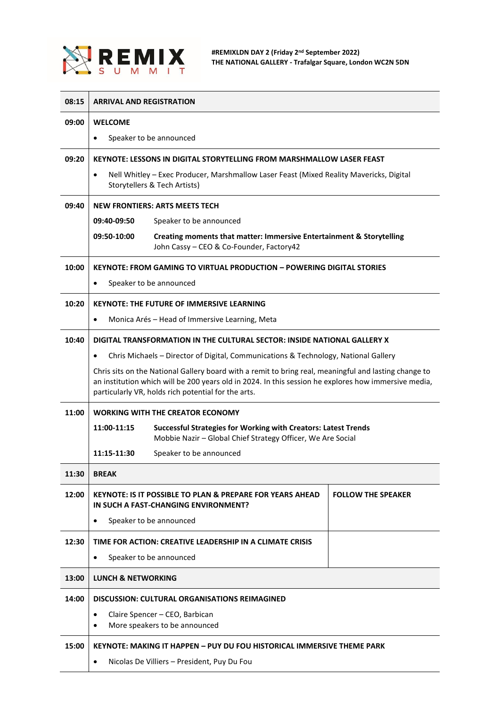

 $\top$ 

| 08:15 | <b>ARRIVAL AND REGISTRATION</b>                                                                                                                                                                                                                                      |                                                                                                                                      |                           |  |
|-------|----------------------------------------------------------------------------------------------------------------------------------------------------------------------------------------------------------------------------------------------------------------------|--------------------------------------------------------------------------------------------------------------------------------------|---------------------------|--|
| 09:00 | <b>WELCOME</b>                                                                                                                                                                                                                                                       |                                                                                                                                      |                           |  |
|       | Speaker to be announced<br>$\bullet$                                                                                                                                                                                                                                 |                                                                                                                                      |                           |  |
| 09:20 |                                                                                                                                                                                                                                                                      | <b>KEYNOTE: LESSONS IN DIGITAL STORYTELLING FROM MARSHMALLOW LASER FEAST</b>                                                         |                           |  |
|       | Nell Whitley - Exec Producer, Marshmallow Laser Feast (Mixed Reality Mavericks, Digital<br>$\bullet$<br>Storytellers & Tech Artists)                                                                                                                                 |                                                                                                                                      |                           |  |
| 09:40 | <b>NEW FRONTIERS: ARTS MEETS TECH</b>                                                                                                                                                                                                                                |                                                                                                                                      |                           |  |
|       | 09:40-09:50<br>Speaker to be announced                                                                                                                                                                                                                               |                                                                                                                                      |                           |  |
|       | 09:50-10:00                                                                                                                                                                                                                                                          | Creating moments that matter: Immersive Entertainment & Storytelling<br>John Cassy - CEO & Co-Founder, Factory42                     |                           |  |
| 10:00 | <b>KEYNOTE: FROM GAMING TO VIRTUAL PRODUCTION - POWERING DIGITAL STORIES</b>                                                                                                                                                                                         |                                                                                                                                      |                           |  |
|       | Speaker to be announced<br>$\bullet$                                                                                                                                                                                                                                 |                                                                                                                                      |                           |  |
| 10:20 | <b>KEYNOTE: THE FUTURE OF IMMERSIVE LEARNING</b>                                                                                                                                                                                                                     |                                                                                                                                      |                           |  |
|       | $\bullet$                                                                                                                                                                                                                                                            | Monica Arés - Head of Immersive Learning, Meta                                                                                       |                           |  |
| 10:40 |                                                                                                                                                                                                                                                                      | DIGITAL TRANSFORMATION IN THE CULTURAL SECTOR: INSIDE NATIONAL GALLERY X                                                             |                           |  |
|       | Chris Michaels - Director of Digital, Communications & Technology, National Gallery<br>$\bullet$                                                                                                                                                                     |                                                                                                                                      |                           |  |
|       | Chris sits on the National Gallery board with a remit to bring real, meaningful and lasting change to<br>an institution which will be 200 years old in 2024. In this session he explores how immersive media,<br>particularly VR, holds rich potential for the arts. |                                                                                                                                      |                           |  |
| 11:00 | <b>WORKING WITH THE CREATOR ECONOMY</b>                                                                                                                                                                                                                              |                                                                                                                                      |                           |  |
|       | 11:00-11:15                                                                                                                                                                                                                                                          | <b>Successful Strategies for Working with Creators: Latest Trends</b><br>Mobbie Nazir - Global Chief Strategy Officer, We Are Social |                           |  |
|       | 11:15-11:30                                                                                                                                                                                                                                                          | Speaker to be announced                                                                                                              |                           |  |
| 11:30 | <b>BREAK</b>                                                                                                                                                                                                                                                         |                                                                                                                                      |                           |  |
| 12:00 |                                                                                                                                                                                                                                                                      | KEYNOTE: IS IT POSSIBLE TO PLAN & PREPARE FOR YEARS AHEAD<br>IN SUCH A FAST-CHANGING ENVIRONMENT?                                    | <b>FOLLOW THE SPEAKER</b> |  |
|       | $\bullet$                                                                                                                                                                                                                                                            | Speaker to be announced                                                                                                              |                           |  |
| 12:30 |                                                                                                                                                                                                                                                                      | TIME FOR ACTION: CREATIVE LEADERSHIP IN A CLIMATE CRISIS                                                                             |                           |  |
|       | $\bullet$                                                                                                                                                                                                                                                            | Speaker to be announced                                                                                                              |                           |  |
| 13:00 | <b>LUNCH &amp; NETWORKING</b>                                                                                                                                                                                                                                        |                                                                                                                                      |                           |  |
| 14:00 |                                                                                                                                                                                                                                                                      | DISCUSSION: CULTURAL ORGANISATIONS REIMAGINED                                                                                        |                           |  |
|       | Claire Spencer - CEO, Barbican<br>٠<br>More speakers to be announced                                                                                                                                                                                                 |                                                                                                                                      |                           |  |
| 15:00 | KEYNOTE: MAKING IT HAPPEN – PUY DU FOU HISTORICAL IMMERSIVE THEME PARK                                                                                                                                                                                               |                                                                                                                                      |                           |  |
|       | Nicolas De Villiers - President, Puy Du Fou<br>$\bullet$                                                                                                                                                                                                             |                                                                                                                                      |                           |  |